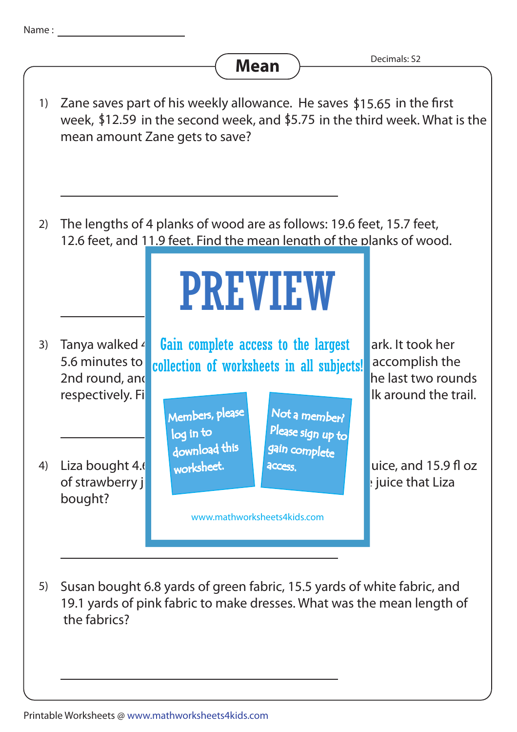